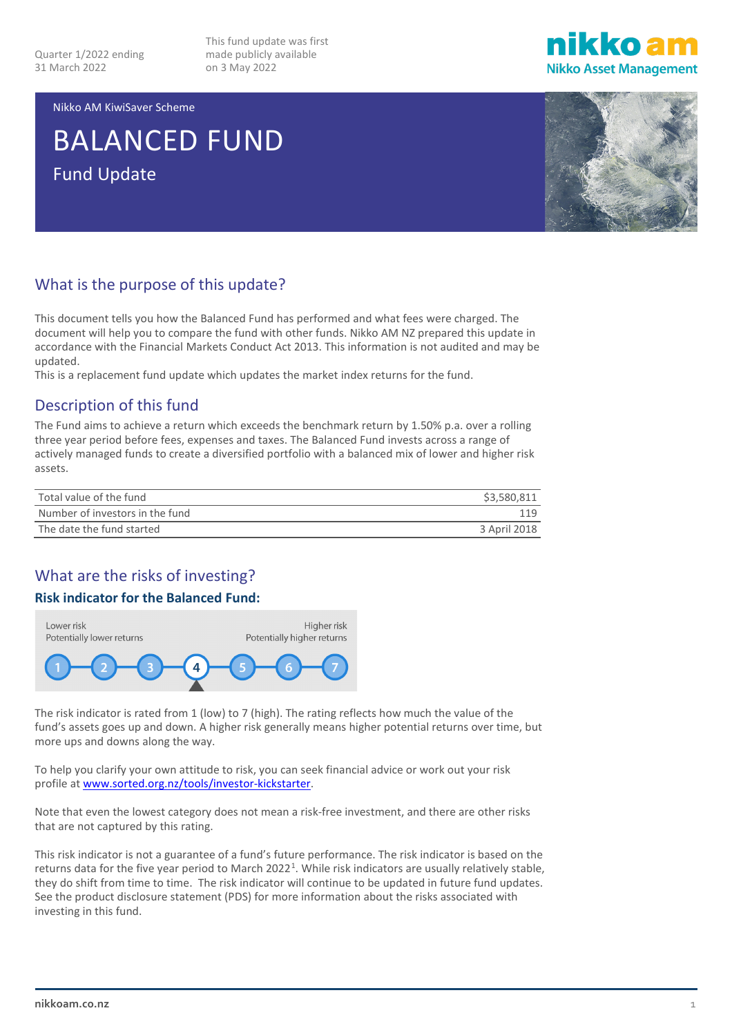This fund update was first made publicly available on 3 May 2022



Nikko AM KiwiSaver Scheme

# BALANCED FUND Fund Update



## What is the purpose of this update?

This document tells you how the Balanced Fund has performed and what fees were charged. The document will help you to compare the fund with other funds. Nikko AM NZ prepared this update in accordance with the Financial Markets Conduct Act 2013. This information is not audited and may be updated.

This is a replacement fund update which updates the market index returns for the fund.

### Description of this fund

The Fund aims to achieve a return which exceeds the benchmark return by 1.50% p.a. over a rolling three year period before fees, expenses and taxes. The Balanced Fund invests across a range of actively managed funds to create a diversified portfolio with a balanced mix of lower and higher risk assets.

| Total value of the fund         | \$3,580,811  |
|---------------------------------|--------------|
| Number of investors in the fund | 119          |
| The date the fund started       | 3 April 2018 |

## What are the risks of investing?

### **Risk indicator for the Balanced Fund:**



The risk indicator is rated from 1 (low) to 7 (high). The rating reflects how much the value of the fund's assets goes up and down. A higher risk generally means higher potential returns over time, but more ups and downs along the way.

To help you clarify your own attitude to risk, you can seek financial advice or work out your risk profile a[t www.sorted.org.nz/tools/investor-kickstarter.](http://www.sorted.org.nz/tools/investor-kickstarter)

Note that even the lowest category does not mean a risk-free investment, and there are other risks that are not captured by this rating.

This risk indicator is not a guarantee of a fund's future performance. The risk indicator is based on the returns data for the five year period to March 2022<sup>[1](#page-4-0)</sup>. While risk indicators are usually relatively stable, they do shift from time to time. The risk indicator will continue to be updated in future fund updates. See the product disclosure statement (PDS) for more information about the risks associated with investing in this fund.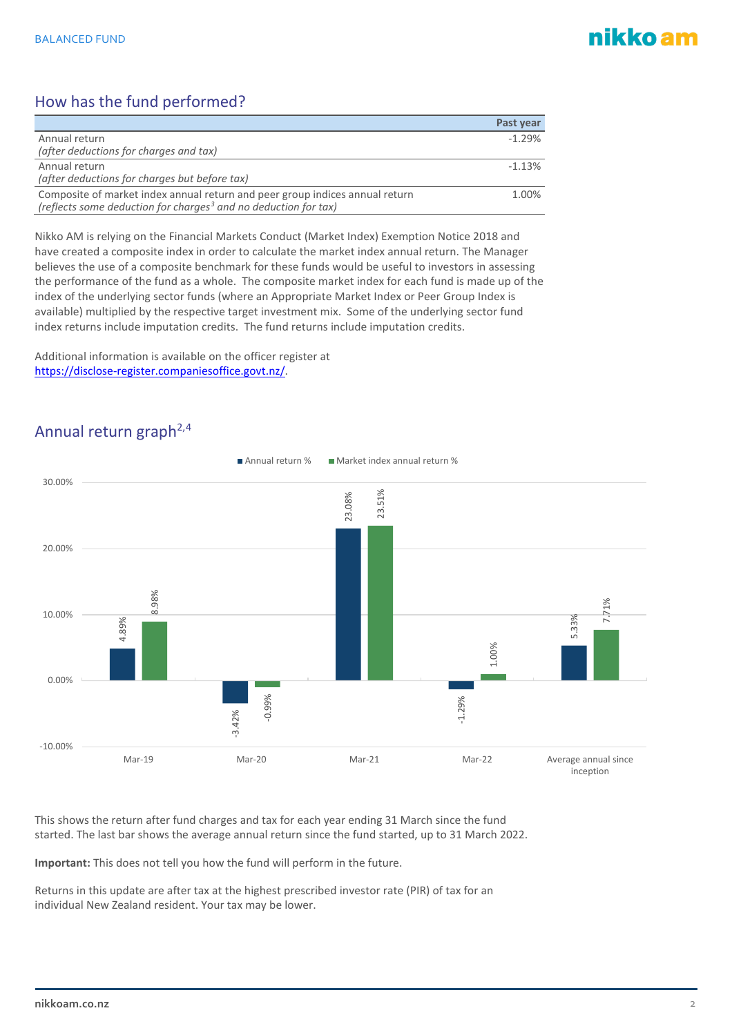# nikko am

# How has the fund performed?

|                                                                                                                                                             | Past year |
|-------------------------------------------------------------------------------------------------------------------------------------------------------------|-----------|
| Annual return                                                                                                                                               | $-1.29%$  |
| (after deductions for charges and tax)                                                                                                                      |           |
| Annual return                                                                                                                                               | $-1.13%$  |
| (after deductions for charges but before tax)                                                                                                               |           |
| Composite of market index annual return and peer group indices annual return<br>(reflects some deduction for charges <sup>3</sup> and no deduction for tax) | 1.00%     |

Nikko AM is relying on the Financial Markets Conduct (Market Index) Exemption Notice 2018 and have created a composite index in order to calculate the market index annual return. The Manager believes the use of a composite benchmark for these funds would be useful to investors in assessing the performance of the fund as a whole. The composite market index for each fund is made up of the index of the underlying sector funds (where an Appropriate Market Index or Peer Group Index is available) multiplied by the respective target investment mix. Some of the underlying sector fund index returns include imputation credits. The fund returns include imputation credits.

Additional information is available on the officer register at [https://disclose-register.companiesoffice.govt.nz/.](https://disclose-register.companiesoffice.govt.nz/)



## Annual return graph<sup>2,[4](#page-4-3)</sup>

This shows the return after fund charges and tax for each year ending 31 March since the fund started. The last bar shows the average annual return since the fund started, up to 31 March 2022.

**Important:** This does not tell you how the fund will perform in the future.

Returns in this update are after tax at the highest prescribed investor rate (PIR) of tax for an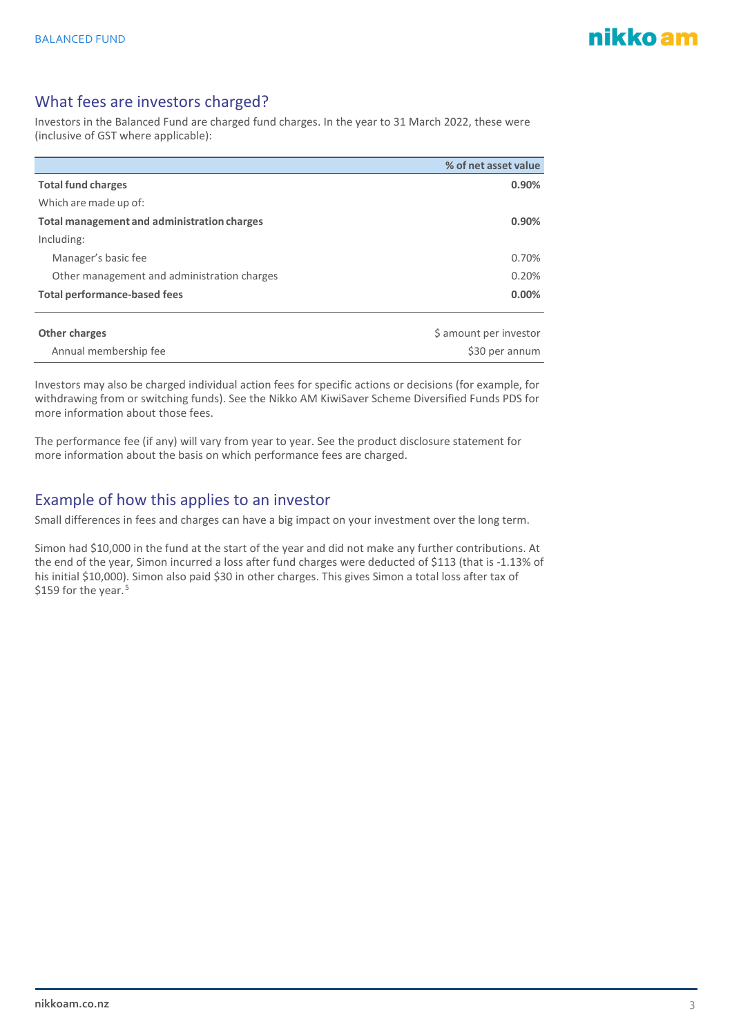## What fees are investors charged?

Investors in the Balanced Fund are charged fund charges. In the year to 31 March 2022, these were (inclusive of GST where applicable):

|                                                    | % of net asset value |
|----------------------------------------------------|----------------------|
| <b>Total fund charges</b>                          | 0.90%                |
| Which are made up of:                              |                      |
| <b>Total management and administration charges</b> | 0.90%                |
| Including:                                         |                      |
| Manager's basic fee                                | 0.70%                |
| Other management and administration charges        | 0.20%                |
| <b>Total performance-based fees</b>                | 0.00%                |
|                                                    |                      |
|                                                    |                      |

| Other charges         | \$ amount per investor |
|-----------------------|------------------------|
| Annual membership fee | \$30 per annum         |
|                       |                        |

Investors may also be charged individual action fees for specific actions or decisions (for example, for withdrawing from or switching funds). See the Nikko AM KiwiSaver Scheme Diversified Funds PDS for more information about those fees.

The performance fee (if any) will vary from year to year. See the product disclosure statement for more information about the basis on which performance fees are charged.

### Example of how this applies to an investor

Small differences in fees and charges can have a big impact on your investment over the long term.

Simon had \$10,000 in the fund at the start of the year and did not make any further contributions. At the end of the year, Simon incurred a loss after fund charges were deducted of \$113 (that is -1.13% of his initial \$10,000). Simon also paid \$30 in other charges. This gives Simon a total loss after tax of \$1[5](#page-4-4)9 for the year.<sup>5</sup>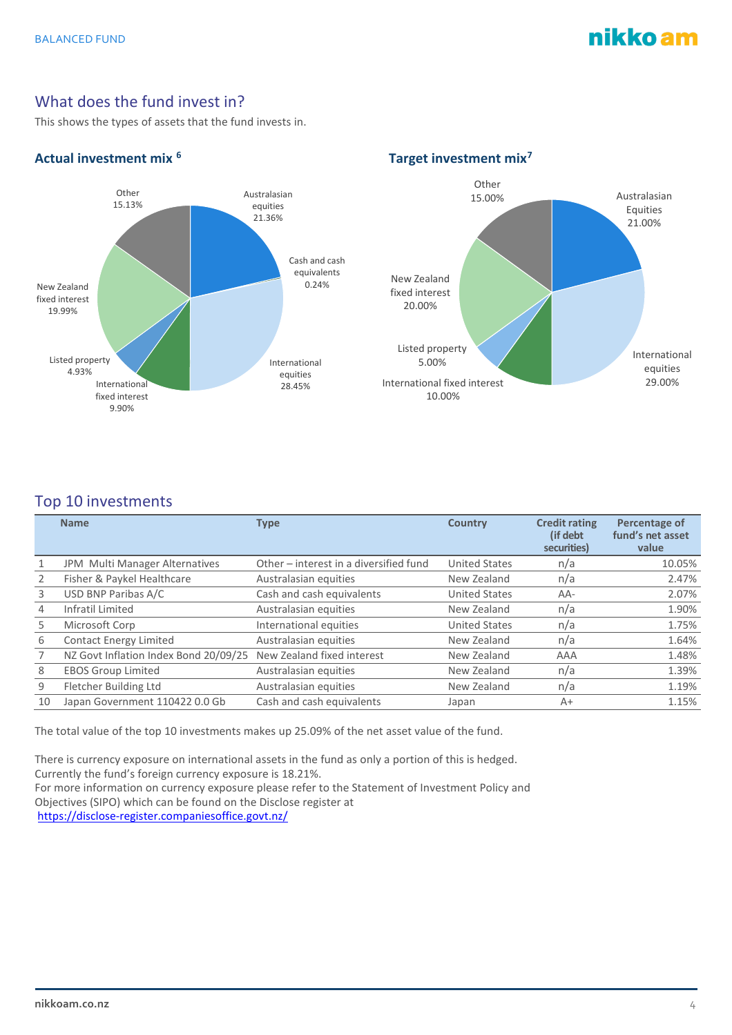# nikko am

## What does the fund invest in?

This shows the types of assets that the fund invests in.

#### equities 21.36% Cash and cash equivalents  $0.24%$ International equities<br>28.45% International fixed interest 9.90% Listed property 4.93% New Zealand fixed interest 19.99% Other 15.13%

#### Actual investment mix <sup>[6](#page-4-5)</sup> and the set of the Target investment mix<sup>[7](#page-4-6)</sup>



### Top 10 investments

|                | <b>Name</b>                           | <b>Type</b>                            | <b>Country</b>       | <b>Credit rating</b><br>(if debt)<br>securities) | Percentage of<br>fund's net asset<br>value |
|----------------|---------------------------------------|----------------------------------------|----------------------|--------------------------------------------------|--------------------------------------------|
|                | JPM Multi Manager Alternatives        | Other - interest in a diversified fund | <b>United States</b> | n/a                                              | 10.05%                                     |
| 2              | Fisher & Paykel Healthcare            | Australasian equities                  | New Zealand          | n/a                                              | 2.47%                                      |
| 3              | USD BNP Paribas A/C                   | Cash and cash equivalents              | <b>United States</b> | $AA-$                                            | 2.07%                                      |
| $\overline{4}$ | Infratil Limited                      | Australasian equities                  | New Zealand          | n/a                                              | 1.90%                                      |
| 5              | Microsoft Corp                        | International equities                 | <b>United States</b> | n/a                                              | 1.75%                                      |
| 6              | Contact Energy Limited                | Australasian equities                  | New Zealand          | n/a                                              | 1.64%                                      |
|                | NZ Govt Inflation Index Bond 20/09/25 | New Zealand fixed interest             | New Zealand          | AAA                                              | 1.48%                                      |
| 8              | <b>EBOS Group Limited</b>             | Australasian equities                  | New Zealand          | n/a                                              | 1.39%                                      |
| 9              | Fletcher Building Ltd                 | Australasian equities                  | New Zealand          | n/a                                              | 1.19%                                      |
| 10             | Japan Government 110422 0.0 Gb        | Cash and cash equivalents              | Japan                | $A+$                                             | 1.15%                                      |

The total value of the top 10 investments makes up 25.09% of the net asset value of the fund.

There is currency exposure on international assets in the fund as only a portion of this is hedged. Currently the fund's foreign currency exposure is 18.21%. For more information on currency exposure please refer to the Statement of Investment Policy and Objectives (SIPO) which can be found on the Disclose register at <https://disclose-register.companiesoffice.govt.nz/>